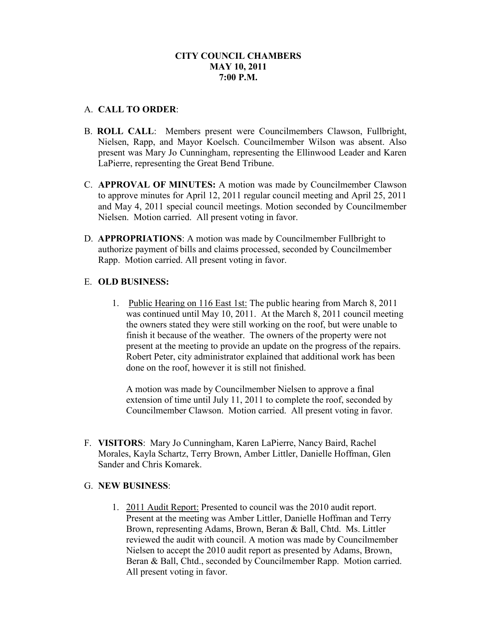# A. **CALL TO ORDER**:

- B. **ROLL CALL**: Members present were Councilmembers Clawson, Fullbright, Nielsen, Rapp, and Mayor Koelsch. Councilmember Wilson was absent. Also present was Mary Jo Cunningham, representing the Ellinwood Leader and Karen LaPierre, representing the Great Bend Tribune.
- C. **APPROVAL OF MINUTES:** A motion was made by Councilmember Clawson to approve minutes for April 12, 2011 regular council meeting and April 25, 2011 and May 4, 2011 special council meetings. Motion seconded by Councilmember Nielsen. Motion carried. All present voting in favor.
- D. **APPROPRIATIONS**: A motion was made by Councilmember Fullbright to authorize payment of bills and claims processed, seconded by Councilmember Rapp. Motion carried. All present voting in favor.

# E. **OLD BUSINESS:**

1. Public Hearing on 116 East 1st: The public hearing from March 8, 2011 was continued until May 10, 2011. At the March 8, 2011 council meeting the owners stated they were still working on the roof, but were unable to finish it because of the weather. The owners of the property were not present at the meeting to provide an update on the progress of the repairs. Robert Peter, city administrator explained that additional work has been done on the roof, however it is still not finished.

A motion was made by Councilmember Nielsen to approve a final extension of time until July 11, 2011 to complete the roof, seconded by Councilmember Clawson. Motion carried. All present voting in favor.

F. **VISITORS**: Mary Jo Cunningham, Karen LaPierre, Nancy Baird, Rachel Morales, Kayla Schartz, Terry Brown, Amber Littler, Danielle Hoffman, Glen Sander and Chris Komarek.

#### G. **NEW BUSINESS**:

1. 2011 Audit Report: Presented to council was the 2010 audit report. Present at the meeting was Amber Littler, Danielle Hoffman and Terry Brown, representing Adams, Brown, Beran & Ball, Chtd. Ms. Littler reviewed the audit with council. A motion was made by Councilmember Nielsen to accept the 2010 audit report as presented by Adams, Brown, Beran & Ball, Chtd., seconded by Councilmember Rapp. Motion carried. All present voting in favor.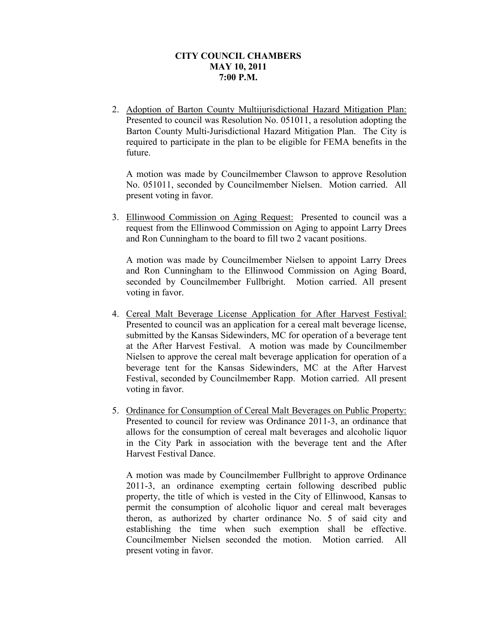2. Adoption of Barton County Multijurisdictional Hazard Mitigation Plan: Presented to council was Resolution No. 051011, a resolution adopting the Barton County Multi-Jurisdictional Hazard Mitigation Plan. The City is required to participate in the plan to be eligible for FEMA benefits in the future.

A motion was made by Councilmember Clawson to approve Resolution No. 051011, seconded by Councilmember Nielsen. Motion carried. All present voting in favor.

3. Ellinwood Commission on Aging Request: Presented to council was a request from the Ellinwood Commission on Aging to appoint Larry Drees and Ron Cunningham to the board to fill two 2 vacant positions.

A motion was made by Councilmember Nielsen to appoint Larry Drees and Ron Cunningham to the Ellinwood Commission on Aging Board, seconded by Councilmember Fullbright. Motion carried. All present voting in favor.

- 4. Cereal Malt Beverage License Application for After Harvest Festival: Presented to council was an application for a cereal malt beverage license, submitted by the Kansas Sidewinders, MC for operation of a beverage tent at the After Harvest Festival. A motion was made by Councilmember Nielsen to approve the cereal malt beverage application for operation of a beverage tent for the Kansas Sidewinders, MC at the After Harvest Festival, seconded by Councilmember Rapp. Motion carried. All present voting in favor.
- 5. Ordinance for Consumption of Cereal Malt Beverages on Public Property: Presented to council for review was Ordinance 2011-3, an ordinance that allows for the consumption of cereal malt beverages and alcoholic liquor in the City Park in association with the beverage tent and the After Harvest Festival Dance.

A motion was made by Councilmember Fullbright to approve Ordinance 2011-3, an ordinance exempting certain following described public property, the title of which is vested in the City of Ellinwood, Kansas to permit the consumption of alcoholic liquor and cereal malt beverages theron, as authorized by charter ordinance No. 5 of said city and establishing the time when such exemption shall be effective. Councilmember Nielsen seconded the motion. Motion carried. All present voting in favor.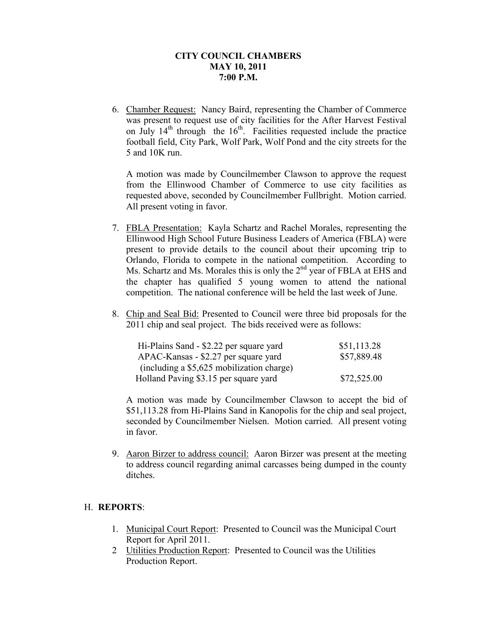6. Chamber Request: Nancy Baird, representing the Chamber of Commerce was present to request use of city facilities for the After Harvest Festival on July  $14<sup>th</sup>$  through the  $16<sup>th</sup>$ . Facilities requested include the practice football field, City Park, Wolf Park, Wolf Pond and the city streets for the 5 and 10K run.

A motion was made by Councilmember Clawson to approve the request from the Ellinwood Chamber of Commerce to use city facilities as requested above, seconded by Councilmember Fullbright. Motion carried. All present voting in favor.

- 7. FBLA Presentation: Kayla Schartz and Rachel Morales, representing the Ellinwood High School Future Business Leaders of America (FBLA) were present to provide details to the council about their upcoming trip to Orlando, Florida to compete in the national competition. According to Ms. Schartz and Ms. Morales this is only the 2<sup>nd</sup> year of FBLA at EHS and the chapter has qualified 5 young women to attend the national competition. The national conference will be held the last week of June.
- 8. Chip and Seal Bid: Presented to Council were three bid proposals for the 2011 chip and seal project. The bids received were as follows:

| Hi-Plains Sand - \$2.22 per square yard   | \$51,113.28 |
|-------------------------------------------|-------------|
| APAC-Kansas - \$2.27 per square yard      | \$57,889.48 |
| (including a \$5,625 mobilization charge) |             |
| Holland Paving \$3.15 per square yard     | \$72,525.00 |

A motion was made by Councilmember Clawson to accept the bid of \$51,113.28 from Hi-Plains Sand in Kanopolis for the chip and seal project, seconded by Councilmember Nielsen. Motion carried. All present voting in favor.

9. Aaron Birzer to address council: Aaron Birzer was present at the meeting to address council regarding animal carcasses being dumped in the county ditches.

#### H. **REPORTS**:

- 1. Municipal Court Report: Presented to Council was the Municipal Court Report for April 2011.
- 2 Utilities Production Report: Presented to Council was the Utilities Production Report.